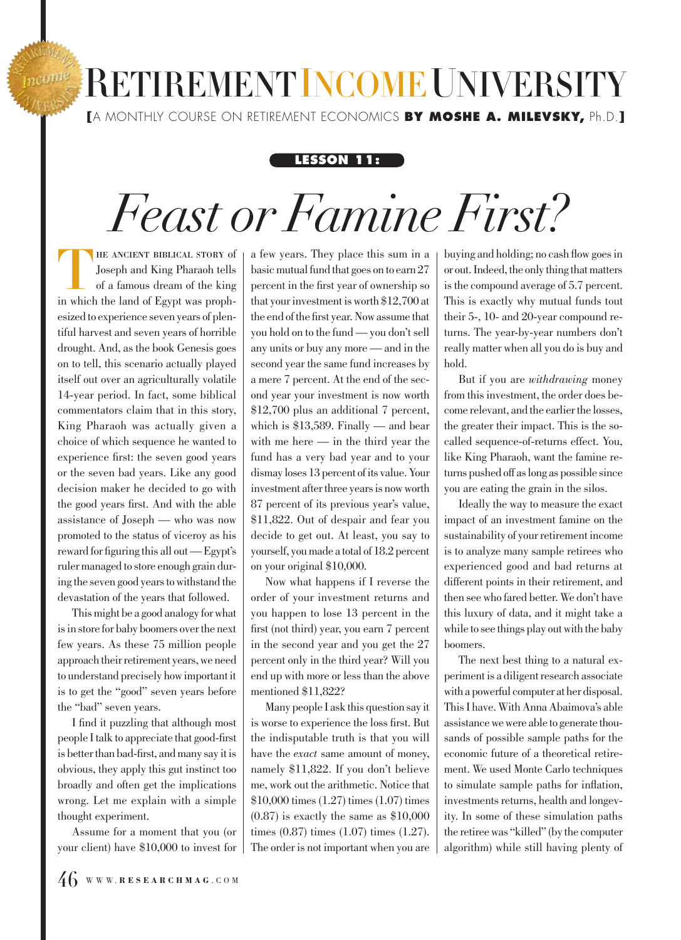## **RETIREMENTINCOME UNIVERSITY [**A MONTHLY COURSE ON RETIREMENT ECONOMICS **BY MOSHE A. MILEVSKY,** Ph.D.**]**

## **LESSON 11:**

## *Feast or Famine First?*

HE ANCIENT BIBLICAL STORY of Joseph and King Pharaoh tells of a famous dream of the king in which the land of Egypt was prophesized to experience seven years of plentiful harvest and seven years of horrible drought. And, as the book Genesis goes on to tell, this scenario actually played itself out over an agriculturally volatile 14-year period. In fact, some biblical commentators claim that in this story, King Pharaoh was actually given a choice of which sequence he wanted to experience first: the seven good years or the seven bad years. Like any good decision maker he decided to go with the good years first. And with the able assistance of Joseph — who was now promoted to the status of viceroy as his reward for figuring this all out — Egypt's ruler managed to store enough grain during the seven good years to withstand the devastation of the years that followed.

This might be a good analogy for what is in store for baby boomers over the next few years. As these 75 million people approach their retirement years, we need to understand precisely how important it is to get the "good" seven years before the "bad" seven years.

I find it puzzling that although most people I talk to appreciate that good-first is better than bad-first, and many say it is obvious, they apply this gut instinct too broadly and often get the implications wrong. Let me explain with a simple thought experiment.

Assume for a moment that you (or your client) have \$10,000 to invest for a few years. They place this sum in a basic mutual fund that goes on to earn 27 percent in the first year of ownership so that your investment is worth \$12,700 at the end of the first year. Now assume that you hold on to the fund — you don't sell any units or buy any more — and in the second year the same fund increases by a mere 7 percent. At the end of the second year your investment is now worth \$12,700 plus an additional 7 percent, which is \$13,589. Finally — and bear with me here — in the third year the fund has a very bad year and to your dismay loses 13 percent of its value. Your investment after three years is now worth 87 percent of its previous year's value, \$11,822. Out of despair and fear you decide to get out. At least, you say to yourself, you made a total of 18.2 percent on your original \$10,000.

Now what happens if I reverse the order of your investment returns and you happen to lose 13 percent in the first (not third) year, you earn 7 percent in the second year and you get the 27 percent only in the third year? Will you end up with more or less than the above mentioned \$11,822?

Many people I ask this question say it is worse to experience the loss first. But the indisputable truth is that you will have the *exact* same amount of money, namely \$11,822. If you don't believe me, work out the arithmetic. Notice that \$10,000 times (1.27) times (1.07) times  $(0.87)$  is exactly the same as  $$10,000$ times (0.87) times (1.07) times (1.27). The order is not important when you are buying and holding; no cash flow goes in or out. Indeed, the only thing that matters is the compound average of 5.7 percent. This is exactly why mutual funds tout their 5-, 10- and 20-year compound returns. The year-by-year numbers don't really matter when all you do is buy and hold.

But if you are *withdrawing* money from this investment, the order does become relevant, and the earlier the losses, the greater their impact. This is the socalled sequence-of-returns effect. You, like King Pharaoh, want the famine returns pushed off as long as possible since you are eating the grain in the silos.

Ideally the way to measure the exact impact of an investment famine on the sustainability of your retirement income is to analyze many sample retirees who experienced good and bad returns at different points in their retirement, and then see who fared better. We don't have this luxury of data, and it might take a while to see things play out with the baby boomers.

The next best thing to a natural experiment is a diligent research associate with a powerful computer at her disposal. This I have. With Anna Abaimova's able assistance we were able to generate thousands of possible sample paths for the economic future of a theoretical retirement. We used Monte Carlo techniques to simulate sample paths for inflation, investments returns, health and longevity. In some of these simulation paths the retiree was "killed" (by the computer algorithm) while still having plenty of